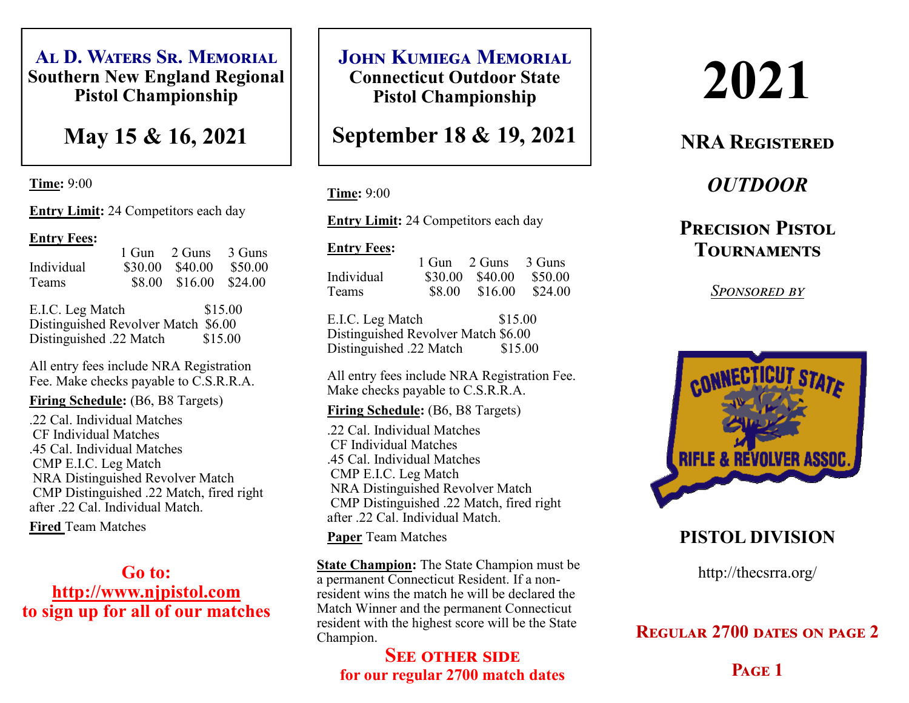**Al D. Waters Sr. Memorial Southern New England Regional Pistol Championship**

**May 15 & 16, 2021**

**Time:** 9:00

**Entry Limit:** 24 Competitors each day

#### **Entry Fees:**

1 Gun 2 Guns 3 Guns Individual \$30.00 \$40.00 \$50.00 Teams \$8.00 \$16.00 \$24.00 E.I.C. Leg Match \$15.00 Distinguished Revolver Match \$6.00

All entry fees include NRA Registration Fee. Make checks payable to C.S.R.R.A.

Distinguished .22 Match \$15.00

**Firing Schedule:** (B6, B8 Targets)

 .22 Cal. Individual Matches CF Individual Matches .45 Cal. Individual Matches CMP E.I.C. Leg Match NRA Distinguished Revolver Match CMP Distinguished .22 Match, fired right after .22 Cal. Individual Match.

**Fired** Team Matches

**Go to: http://www.njpistol.com to sign up for all of our matches** **JOHN KUMIEGA MEMORIAL** 

**Connecticut Outdoor State Pistol Championship**

**September 18 & 19, 2021**

#### **Time:** 9:00

**Entry Limit:** 24 Competitors each day

#### **Entry Fees:**

| \$30.00 \$40.00 \$50.00 |
|-------------------------|
| \$8.00 \$16.00 \$24.00  |
|                         |

E.I.C. Leg Match \$15.00 Distinguished Revolver Match \$6.00 Distinguished .22 Match \$15.00

All entry fees include NRA Registration Fee. Make checks payable to C.S.R.R.A.

**Firing Schedule:** (B6, B8 Targets)

 .22 Cal. Individual Matches CF Individual Matches .45 Cal. Individual Matches CMP E.I.C. Leg Match NRA Distinguished Revolver Match CMP Distinguished .22 Match, fired right after .22 Cal. Individual Match.

**Paper** Team Matches

**State Champion:** The State Champion must be a permanent Connecticut Resident. If a nonresident wins the match he will be declared the Match Winner and the permanent Connecticut resident with the highest score will be the State Champion.

### **SEE OTHER SIDE for our regular 2700 match dates**

# **2021**

# **NRA Registered**

# *OUTDOOR*

# **Precision Pistol Tournaments**

*Sponsored by*



# **PISTOL DIVISION**

http://thecsrra.org/

## **Regular 2700 dates on page 2**

**Page 1**